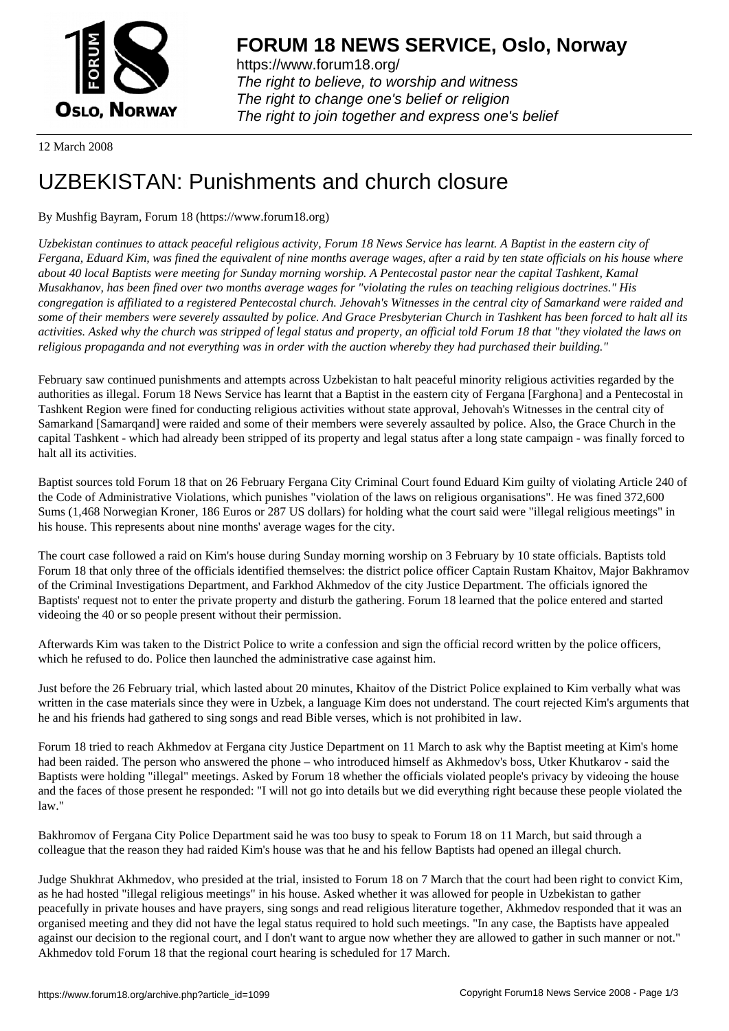

https://www.forum18.org/ The right to believe, to worship and witness The right to change one's belief or religion [The right to join together a](https://www.forum18.org/)nd express one's belief

12 March 2008

## [UZBEKISTAN:](https://www.forum18.org) Punishments and church closure

## By Mushfig Bayram, Forum 18 (https://www.forum18.org)

*Uzbekistan continues to attack peaceful religious activity, Forum 18 News Service has learnt. A Baptist in the eastern city of Fergana, Eduard Kim, was fined the equivalent of nine months average wages, after a raid by ten state officials on his house where about 40 local Baptists were meeting for Sunday morning worship. A Pentecostal pastor near the capital Tashkent, Kamal Musakhanov, has been fined over two months average wages for "violating the rules on teaching religious doctrines." His congregation is affiliated to a registered Pentecostal church. Jehovah's Witnesses in the central city of Samarkand were raided and some of their members were severely assaulted by police. And Grace Presbyterian Church in Tashkent has been forced to halt all its activities. Asked why the church was stripped of legal status and property, an official told Forum 18 that "they violated the laws on religious propaganda and not everything was in order with the auction whereby they had purchased their building."*

February saw continued punishments and attempts across Uzbekistan to halt peaceful minority religious activities regarded by the authorities as illegal. Forum 18 News Service has learnt that a Baptist in the eastern city of Fergana [Farghona] and a Pentecostal in Tashkent Region were fined for conducting religious activities without state approval, Jehovah's Witnesses in the central city of Samarkand [Samarqand] were raided and some of their members were severely assaulted by police. Also, the Grace Church in the capital Tashkent - which had already been stripped of its property and legal status after a long state campaign - was finally forced to halt all its activities.

Baptist sources told Forum 18 that on 26 February Fergana City Criminal Court found Eduard Kim guilty of violating Article 240 of the Code of Administrative Violations, which punishes "violation of the laws on religious organisations". He was fined 372,600 Sums (1,468 Norwegian Kroner, 186 Euros or 287 US dollars) for holding what the court said were "illegal religious meetings" in his house. This represents about nine months' average wages for the city.

The court case followed a raid on Kim's house during Sunday morning worship on 3 February by 10 state officials. Baptists told Forum 18 that only three of the officials identified themselves: the district police officer Captain Rustam Khaitov, Major Bakhramov of the Criminal Investigations Department, and Farkhod Akhmedov of the city Justice Department. The officials ignored the Baptists' request not to enter the private property and disturb the gathering. Forum 18 learned that the police entered and started videoing the 40 or so people present without their permission.

Afterwards Kim was taken to the District Police to write a confession and sign the official record written by the police officers, which he refused to do. Police then launched the administrative case against him.

Just before the 26 February trial, which lasted about 20 minutes, Khaitov of the District Police explained to Kim verbally what was written in the case materials since they were in Uzbek, a language Kim does not understand. The court rejected Kim's arguments that he and his friends had gathered to sing songs and read Bible verses, which is not prohibited in law.

Forum 18 tried to reach Akhmedov at Fergana city Justice Department on 11 March to ask why the Baptist meeting at Kim's home had been raided. The person who answered the phone – who introduced himself as Akhmedov's boss, Utker Khutkarov - said the Baptists were holding "illegal" meetings. Asked by Forum 18 whether the officials violated people's privacy by videoing the house and the faces of those present he responded: "I will not go into details but we did everything right because these people violated the law."

Bakhromov of Fergana City Police Department said he was too busy to speak to Forum 18 on 11 March, but said through a colleague that the reason they had raided Kim's house was that he and his fellow Baptists had opened an illegal church.

Judge Shukhrat Akhmedov, who presided at the trial, insisted to Forum 18 on 7 March that the court had been right to convict Kim, as he had hosted "illegal religious meetings" in his house. Asked whether it was allowed for people in Uzbekistan to gather peacefully in private houses and have prayers, sing songs and read religious literature together, Akhmedov responded that it was an organised meeting and they did not have the legal status required to hold such meetings. "In any case, the Baptists have appealed against our decision to the regional court, and I don't want to argue now whether they are allowed to gather in such manner or not." Akhmedov told Forum 18 that the regional court hearing is scheduled for 17 March.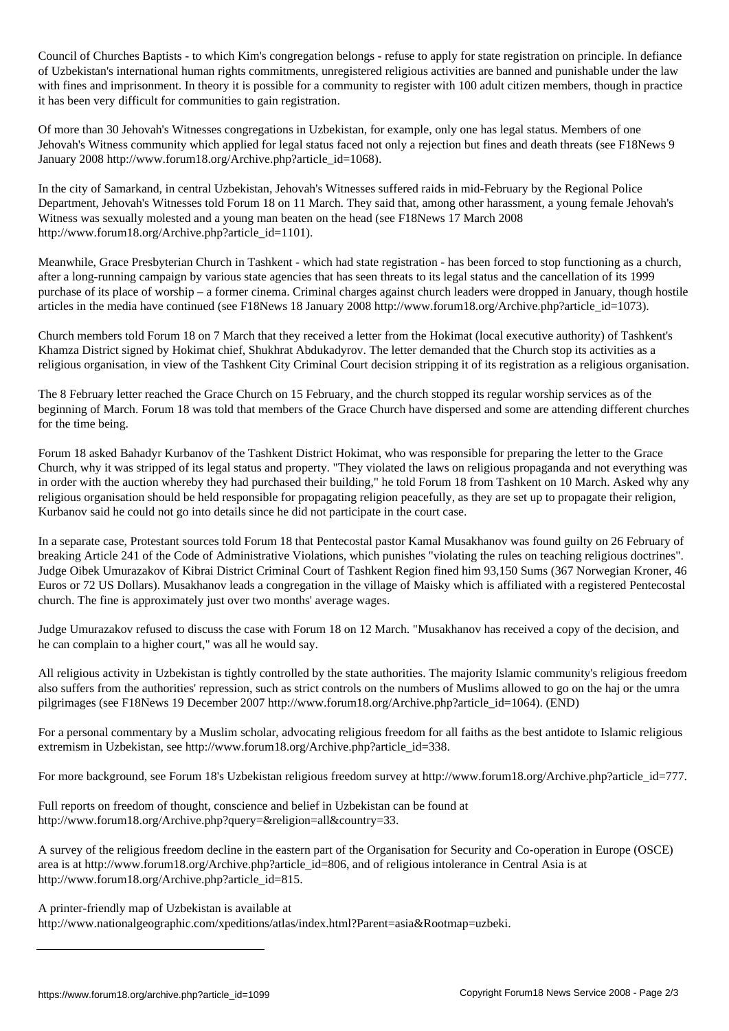Council of Churches Baptists - to which Kim's congregation belongs - refuse to apply for state registration on principle. In defiance of Uzbekistan's international human rights commitments, unregistered religious activities are banned and punishable under the law with fines and imprisonment. In theory it is possible for a community to register with 100 adult citizen members, though in practice it has been very difficult for communities to gain registration.

Of more than 30 Jehovah's Witnesses congregations in Uzbekistan, for example, only one has legal status. Members of one Jehovah's Witness community which applied for legal status faced not only a rejection but fines and death threats (see F18News 9 January 2008 http://www.forum18.org/Archive.php?article\_id=1068).

In the city of Samarkand, in central Uzbekistan, Jehovah's Witnesses suffered raids in mid-February by the Regional Police Department, Jehovah's Witnesses told Forum 18 on 11 March. They said that, among other harassment, a young female Jehovah's Witness was sexually molested and a young man beaten on the head (see F18News 17 March 2008 http://www.forum18.org/Archive.php?article\_id=1101).

Meanwhile, Grace Presbyterian Church in Tashkent - which had state registration - has been forced to stop functioning as a church, after a long-running campaign by various state agencies that has seen threats to its legal status and the cancellation of its 1999 purchase of its place of worship – a former cinema. Criminal charges against church leaders were dropped in January, though hostile articles in the media have continued (see F18News 18 January 2008 http://www.forum18.org/Archive.php?article\_id=1073).

Church members told Forum 18 on 7 March that they received a letter from the Hokimat (local executive authority) of Tashkent's Khamza District signed by Hokimat chief, Shukhrat Abdukadyrov. The letter demanded that the Church stop its activities as a religious organisation, in view of the Tashkent City Criminal Court decision stripping it of its registration as a religious organisation.

The 8 February letter reached the Grace Church on 15 February, and the church stopped its regular worship services as of the beginning of March. Forum 18 was told that members of the Grace Church have dispersed and some are attending different churches for the time being.

Forum 18 asked Bahadyr Kurbanov of the Tashkent District Hokimat, who was responsible for preparing the letter to the Grace Church, why it was stripped of its legal status and property. "They violated the laws on religious propaganda and not everything was in order with the auction whereby they had purchased their building," he told Forum 18 from Tashkent on 10 March. Asked why any religious organisation should be held responsible for propagating religion peacefully, as they are set up to propagate their religion, Kurbanov said he could not go into details since he did not participate in the court case.

In a separate case, Protestant sources told Forum 18 that Pentecostal pastor Kamal Musakhanov was found guilty on 26 February of breaking Article 241 of the Code of Administrative Violations, which punishes "violating the rules on teaching religious doctrines". Judge Oibek Umurazakov of Kibrai District Criminal Court of Tashkent Region fined him 93,150 Sums (367 Norwegian Kroner, 46 Euros or 72 US Dollars). Musakhanov leads a congregation in the village of Maisky which is affiliated with a registered Pentecostal church. The fine is approximately just over two months' average wages.

Judge Umurazakov refused to discuss the case with Forum 18 on 12 March. "Musakhanov has received a copy of the decision, and he can complain to a higher court," was all he would say.

All religious activity in Uzbekistan is tightly controlled by the state authorities. The majority Islamic community's religious freedom also suffers from the authorities' repression, such as strict controls on the numbers of Muslims allowed to go on the haj or the umra pilgrimages (see F18News 19 December 2007 http://www.forum18.org/Archive.php?article\_id=1064). (END)

For a personal commentary by a Muslim scholar, advocating religious freedom for all faiths as the best antidote to Islamic religious extremism in Uzbekistan, see http://www.forum18.org/Archive.php?article\_id=338.

For more background, see Forum 18's Uzbekistan religious freedom survey at http://www.forum18.org/Archive.php?article\_id=777.

Full reports on freedom of thought, conscience and belief in Uzbekistan can be found at http://www.forum18.org/Archive.php?query=&religion=all&country=33.

A survey of the religious freedom decline in the eastern part of the Organisation for Security and Co-operation in Europe (OSCE) area is at http://www.forum18.org/Archive.php?article\_id=806, and of religious intolerance in Central Asia is at http://www.forum18.org/Archive.php?article\_id=815.

A printer-friendly map of Uzbekistan is available at

http://www.nationalgeographic.com/xpeditions/atlas/index.html?Parent=asia&Rootmap=uzbeki.